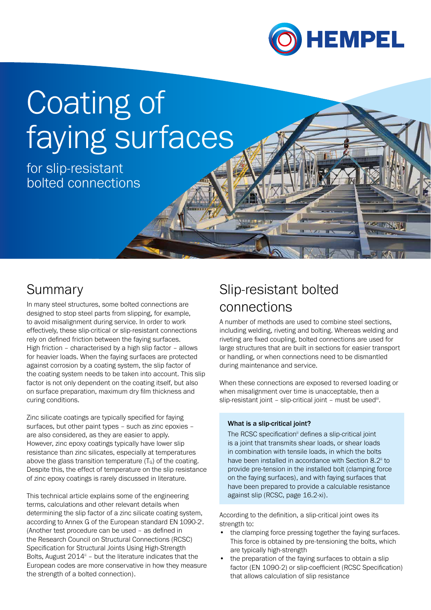

# Coating of faying surfaces

for slip-resistant bolted connections

# Summary

In many steel structures, some bolted connections are designed to stop steel parts from slipping, for example, to avoid misalignment during service. In order to work effectively, these slip-critical or slip-resistant connections rely on defined friction between the faying surfaces. High friction – characterised by a high slip factor – allows for heavier loads. When the faying surfaces are protected against corrosion by a coating system, the slip factor of the coating system needs to be taken into account. This slip factor is not only dependent on the coating itself, but also on surface preparation, maximum dry film thickness and curing conditions.

Zinc silicate coatings are typically specified for faying surfaces, but other paint types – such as zinc epoxies – are also considered, as they are easier to apply. However, zinc epoxy coatings typically have lower slip resistance than zinc silicates, especially at temperatures above the glass transition temperature  $(T<sub>G</sub>)$  of the coating. Despite this, the effect of temperature on the slip resistance of zinc epoxy coatings is rarely discussed in literature.

This technical article explains some of the engineering terms, calculations and other relevant details when determining the slip factor of a zinc silicate coating system, according to Annex G of the European standard EN 1090-2. (Another test procedure can be used – as defined in the Research Council on Structural Connections (RCSC) Specification for Structural Joints Using High-Strength Bolts, August  $2014^{\text{ii}}$  – but the literature indicates that the European codes are more conservative in how they measure the strength of a bolted connection).

# Slip-resistant bolted connections

A number of methods are used to combine steel sections, including welding, riveting and bolting. Whereas welding and riveting are fixed coupling, bolted connections are used for large structures that are built in sections for easier transport or handling, or when connections need to be dismantled during maintenance and service.

When these connections are exposed to reversed loading or when misalignment over time is unacceptable, then a slip-resistant joint – slip-critical joint – must be used $\ddot{m}$ .

#### What is a slip-critical joint?

The RCSC specification<sup>ii</sup> defines a slip-critical joint is a joint that transmits shear loads, or shear loads in combination with tensile loads, in which the bolts have been installed in accordance with Section 8.2<sup>ii</sup> to provide pre-tension in the installed bolt (clamping force on the faying surfaces), and with faying surfaces that have been prepared to provide a calculable resistance against slip (RCSC, page 16.2-xi).

According to the definition, a slip-critical joint owes its strength to:

- the clamping force pressing together the faying surfaces. This force is obtained by pre-tensioning the bolts, which are typically high-strength
- the preparation of the faying surfaces to obtain a slip factor (EN 1090-2) or slip-coefficient (RCSC Specification) that allows calculation of slip resistance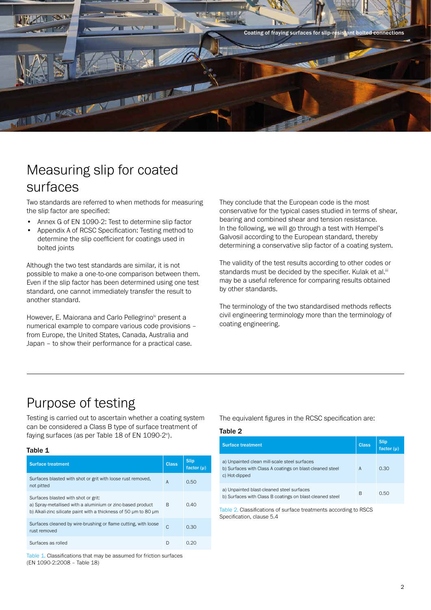

### Measuring slip for coated surfaces

Two standards are referred to when methods for measuring the slip factor are specified:

- Annex G of EN 1090-2: Test to determine slip factor
- Appendix A of RCSC Specification: Testing method to determine the slip coefficient for coatings used in bolted joints

Although the two test standards are similar, it is not possible to make a one-to-one comparison between them. Even if the slip factor has been determined using one test standard, one cannot immediately transfer the result to another standard.

However, E. Maiorana and Carlo Pellegrino<sup>iv</sup> present a numerical example to compare various code provisions – from Europe, the United States, Canada, Australia and Japan – to show their performance for a practical case.

They conclude that the European code is the most conservative for the typical cases studied in terms of shear, bearing and combined shear and tension resistance. In the following, we will go through a test with Hempel's Galvosil according to the European standard, thereby determining a conservative slip factor of a coating system.

The validity of the test results according to other codes or standards must be decided by the specifier. Kulak et al.<sup>iii</sup> may be a useful reference for comparing results obtained by other standards.

The terminology of the two standardised methods reflects civil engineering terminology more than the terminology of coating engineering.

## Purpose of testing

Testing is carried out to ascertain whether a coating system can be considered a Class B type of surface treatment of faying surfaces (as per Table 18 of EN 1090-2<sup>v</sup>).

#### Table 1

| <b>Surface treatment</b>                                                                                                                                              | <b>Class</b> | <b>Slip</b><br>factor $(\mu)$ |
|-----------------------------------------------------------------------------------------------------------------------------------------------------------------------|--------------|-------------------------------|
| Surfaces blasted with shot or grit with loose rust removed,<br>not pitted                                                                                             | A            | 0.50                          |
| Surfaces blasted with shot or grit:<br>a) Spray-metallised with a aluminium or zinc-based product<br>b) Alkali-zinc silicate paint with a thickness of 50 um to 80 um | R            | 0.40                          |
| Surfaces cleaned by wire-brushing or flame cutting, with loose<br>rust removed                                                                                        | C            | 0.30                          |
| Surfaces as rolled                                                                                                                                                    | D            | N 20                          |

Table 1. Classifications that may be assumed for friction surfaces (EN 1090-2:2008 – Table 18)

The equivalent figures in the RCSC specification are:

#### Table 2

| <b>Surface treatment</b>                                                                                                  | <b>Class</b> | <b>Slip</b><br>factor $(\mu)$ |
|---------------------------------------------------------------------------------------------------------------------------|--------------|-------------------------------|
| a) Unpainted clean mill-scale steel surfaces<br>b) Surfaces with Class A coatings on blast-cleaned steel<br>c) Hot-dipped | A            | 0.30                          |
| a) Unpainted blast-cleaned steel surfaces<br>b) Surfaces with Class B coatings on blast-cleaned steel                     | B            | 0.50                          |

Table 2. Classifications of surface treatments according to RSCS Specification, clause 5.4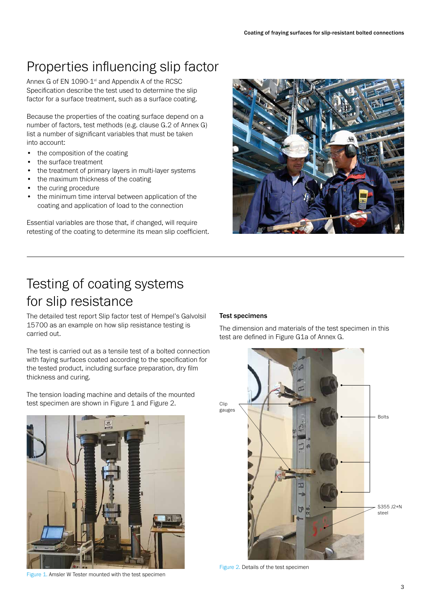# Properties influencing slip factor

Annex G of EN 1090-1<sup>vi</sup> and Appendix A of the RCSC Specification describe the test used to determine the slip factor for a surface treatment, such as a surface coating.

Because the properties of the coating surface depend on a number of factors, test methods (e.g. clause G.2 of Annex G) list a number of significant variables that must be taken into account:

- the composition of the coating
- the surface treatment
- the treatment of primary layers in multi-layer systems
- the maximum thickness of the coating
- the curing procedure
- the minimum time interval between application of the coating and application of load to the connection

Essential variables are those that, if changed, will require retesting of the coating to determine its mean slip coefficient.



# Testing of coating systems for slip resistance

The detailed test report Slip factor test of Hempel's Galvolsil 15700 as an example on how slip resistance testing is carried out.

The test is carried out as a tensile test of a bolted connection with faying surfaces coated according to the specification for the tested product, including surface preparation, dry film thickness and curing.

The tension loading machine and details of the mounted test specimen are shown in Figure 1 and Figure 2.



Figure 1. Amsler W Tester mounted with the test specimen

#### Test specimens

The dimension and materials of the test specimen in this test are defined in Figure G1a of Annex G.



Figure 2. Details of the test specimen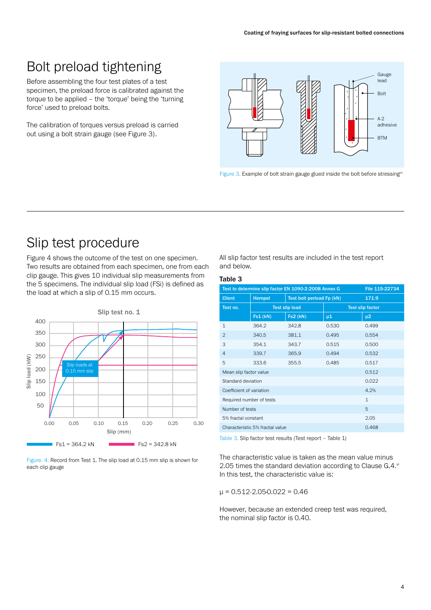## Bolt preload tightening

Before assembling the four test plates of a test specimen, the preload force is calibrated against the torque to be applied – the 'torque' being the 'turning force' used to preload bolts.

The calibration of torques versus preload is carried out using a bolt strain gauge (see Figure 3).



Figure 3. Example of bolt strain gauge glued inside the bolt before stressing<sup>vii</sup>

### Slip test procedure

Figure 4 shows the outcome of the test on one specimen. Two results are obtained from each specimen, one from each clip gauge. This gives 10 individual slip measurements from the 5 specimens. The individual slip load (FSi) is defined as the load at which a slip of 0.15 mm occurs.



Figure. 4. Record from Test 1. The slip load at 0.15 mm slip is shown for each clip gauge

All slip factor test results are included in the test report and below.

#### Table 3

| Test to determine slip factor EN 1090-2:2008 Annex G<br>File 115-22734 |               |                           |                         |         |  |  |
|------------------------------------------------------------------------|---------------|---------------------------|-------------------------|---------|--|--|
| <b>Client</b>                                                          | <b>Hempel</b> | Test bolt perload Fp (kN) |                         | 171.9   |  |  |
| Test no.                                                               |               | <b>Test slip load</b>     | <b>Test slip factor</b> |         |  |  |
|                                                                        | Fs1(kN)       | <b>Fs2 (kN)</b>           | µ1                      | $\mu$ 2 |  |  |
| $\mathbf{1}$                                                           | 364.2         | 342.8                     | 0.530                   | 0.499   |  |  |
| 2                                                                      | 340.5         | 381.1                     | 0.495                   | 0.554   |  |  |
| 3                                                                      | 354.1         | 343.7                     | 0.515                   | 0.500   |  |  |
| 4                                                                      | 339.7         | 365.9                     | 0.494                   | 0.532   |  |  |
| 5                                                                      | 333.6         | 355.5                     | 0.485                   | 0.517   |  |  |
| 0.512<br>Mean slip factor value                                        |               |                           |                         |         |  |  |
| Standard deviation<br>0.022                                            |               |                           |                         |         |  |  |
| 4.2%<br>Coefficient of variation                                       |               |                           |                         |         |  |  |
| $\mathbf{1}$<br>Required number of tests                               |               |                           |                         |         |  |  |
| 5<br>Number of tests                                                   |               |                           |                         |         |  |  |
| 2.05<br>5% fractal constant                                            |               |                           |                         |         |  |  |
| Characteristic 5% fractal value<br>0.468                               |               |                           |                         |         |  |  |
|                                                                        |               |                           |                         |         |  |  |

Table 3. Slip factor test results (Test report – Table 1)

The characteristic value is taken as the mean value minus 2.05 times the standard deviation according to Clause G.4.vi In this test, the characteristic value is:

μ = 0.512-2.05∙0.022 = 0.46

However, because an extended creep test was required, the nominal slip factor is 0.40.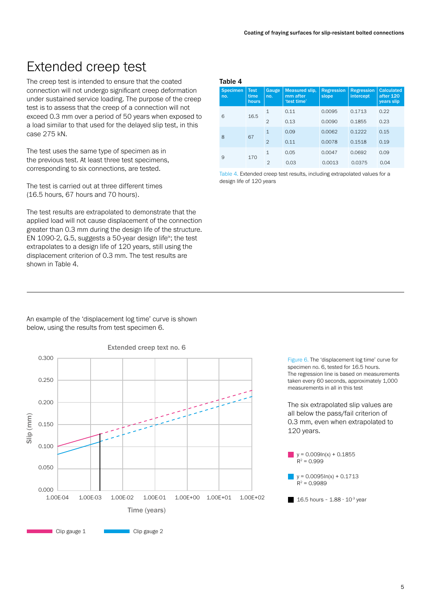### Extended creep test

The creep test is intended to ensure that the coated connection will not undergo significant creep deformation under sustained service loading. The purpose of the creep test is to assess that the creep of a connection will not exceed 0.3 mm over a period of 50 years when exposed to a load similar to that used for the delayed slip test, in this case 275 kN.

The test uses the same type of specimen as in the previous test. At least three test specimens, corresponding to six connections, are tested.

The test is carried out at three different times (16.5 hours, 67 hours and 70 hours).

The test results are extrapolated to demonstrate that the applied load will not cause displacement of the connection greater than 0.3 mm during the design life of the structure. EN 1090-2, G.5, suggests a 50-year design life<sup>ix</sup>; the test extrapolates to a design life of 120 years, still using the displacement criterion of 0.3 mm. The test results are shown in Table 4.

An example of the 'displacement log time' curve is shown below, using the results from test specimen 6.



#### Table 4

| 1401Y |                        |                              |                |                                                  |                            |                                |                                                     |
|-------|------------------------|------------------------------|----------------|--------------------------------------------------|----------------------------|--------------------------------|-----------------------------------------------------|
|       | <b>Specimen</b><br>no. | <b>Test</b><br>time<br>hours | Gauge<br>no.   | <b>Measured slip,</b><br>mm after<br>'test time' | <b>Regression</b><br>slope | <b>Regression</b><br>intercept | <b>Calculated</b><br>after 120<br><b>years slip</b> |
|       | 6<br>16.5              | $\mathbf{1}$                 | 0.11           | 0.0095                                           | 0.1713                     | 0.22                           |                                                     |
|       |                        | $\overline{2}$               | 0.13           | 0.0090                                           | 0.1855                     | 0.23                           |                                                     |
|       |                        |                              | $\mathbf{1}$   | 0.09                                             | 0.0062                     | 0.1222                         | 0.15                                                |
|       | 8<br>67                |                              | $\mathfrak{D}$ | 0.11                                             | 0.0078                     | 0.1518                         | 0.19                                                |
|       | 9<br>170               | $\mathbf{1}$                 | 0.05           | 0.0047                                           | 0.0692                     | 0.09                           |                                                     |
|       |                        |                              | $\mathfrak{D}$ | 0.03                                             | 0.0013                     | 0.0375                         | 0.04                                                |

Table 4. Extended creep test results, including extrapolated values for a design life of 120 years

> Figure 6. The 'displacement log time' curve for specimen no. 6, tested for 16.5 hours. The regression line is based on measurements taken every 60 seconds, approximately 1,000 measurements in all in this test

The six extrapolated slip values are all below the pass/fail criterion of 0.3 mm, even when extrapolated to 120 years.

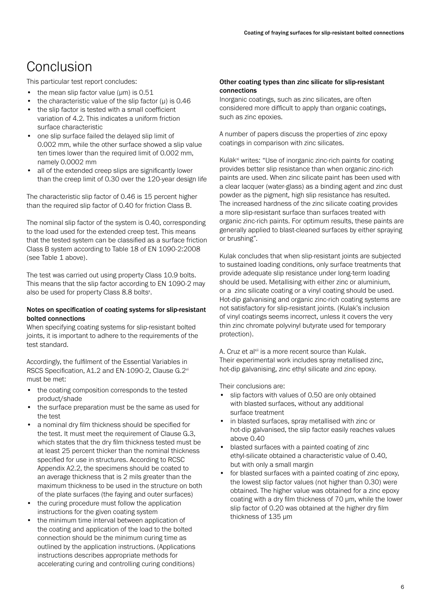# **Conclusion**

This particular test report concludes:

- the mean slip factor value ( $\mu$ m) is 0.51
- the characteristic value of the slip factor  $(\mu)$  is 0.46
- the slip factor is tested with a small coefficient variation of 4.2. This indicates a uniform friction surface characteristic
- one slip surface failed the delayed slip limit of 0.002 mm, while the other surface showed a slip value ten times lower than the required limit of 0.002 mm, namely 0.0002 mm
- all of the extended creep slips are significantly lower than the creep limit of 0.30 over the 120-year design life

The characteristic slip factor of 0.46 is 15 percent higher than the required slip factor of 0.40 for friction Class B.

The nominal slip factor of the system is 0.40, corresponding to the load used for the extended creep test. This means that the tested system can be classified as a surface friction Class B system according to Table 18 of EN 1090-2:2008 (see Table 1 above).

The test was carried out using property Class 10.9 bolts. This means that the slip factor according to EN 1090-2 may also be used for property Class 8.8 bolts<sup>x</sup>.

#### Notes on specification of coating systems for slip-resistant bolted connections

When specifying coating systems for slip-resistant bolted joints, it is important to adhere to the requirements of the test standard.

Accordingly, the fulfilment of the Essential Variables in RSCS Specification, A1.2 and EN-1090-2, Clause G.2vi must be met:

- the coating composition corresponds to the tested product/shade
- the surface preparation must be the same as used for the test
- a nominal dry film thickness should be specified for the test. It must meet the requirement of Clause G.3, which states that the dry film thickness tested must be at least 25 percent thicker than the nominal thickness specified for use in structures. According to RCSC Appendix A2.2, the specimens should be coated to an average thickness that is 2 mils greater than the maximum thickness to be used in the structure on both of the plate surfaces (the faying and outer surfaces)
- the curing procedure must follow the application instructions for the given coating system
- the minimum time interval between application of the coating and application of the load to the bolted connection should be the minimum curing time as outlined by the application instructions. (Applications instructions describes appropriate methods for accelerating curing and controlling curing conditions)

#### Other coating types than zinc silicate for slip-resistant connections

Inorganic coatings, such as zinc silicates, are often considered more difficult to apply than organic coatings, such as zinc epoxies.

A number of papers discuss the properties of zinc epoxy coatings in comparison with zinc silicates.

Kulak<sup>xi</sup> writes: "Use of inorganic zinc-rich paints for coating provides better slip resistance than when organic zinc-rich paints are used. When zinc silicate paint has been used with a clear lacquer (water-glass) as a binding agent and zinc dust powder as the pigment, high slip resistance has resulted. The increased hardness of the zinc silicate coating provides a more slip-resistant surface than surfaces treated with organic zinc-rich paints. For optimum results, these paints are generally applied to blast-cleaned surfaces by either spraying or brushing".

Kulak concludes that when slip-resistant joints are subjected to sustained loading conditions, only surface treatments that provide adequate slip resistance under long-term loading should be used. Metallising with either zinc or aluminium, or a zinc silicate coating or a vinyl coating should be used. Hot-dip galvanising and organic zinc-rich coating systems are not satisfactory for slip-resistant joints. (Kulak's inclusion of vinyl coatings seems incorrect, unless it covers the very thin zinc chromate polyvinyl butyrate used for temporary protection).

A. Cruz et alxii is a more recent source than Kulak. Their experimental work includes spray metallised zinc, hot-dip galvanising, zinc ethyl silicate and zinc epoxy.

Their conclusions are:

- slip factors with values of 0.50 are only obtained with blasted surfaces, without any additional surface treatment
- in blasted surfaces, spray metallised with zinc or hot-dip galvanised, the slip factor easily reaches values above 0.40
- blasted surfaces with a painted coating of zinc ethyl-silicate obtained a characteristic value of 0.40, but with only a small margin
- for blasted surfaces with a painted coating of zinc epoxy, the lowest slip factor values (not higher than 0.30) were obtained. The higher value was obtained for a zinc epoxy coating with a dry film thickness of 70 µm, while the lower slip factor of 0.20 was obtained at the higher dry film thickness of 135 µm